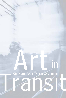## Charlotte Area Transit System

 $\overline{\mathsf{I}}$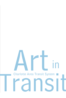# ÷, **Charlotte Area Transit System**  $\mathcal{L}_{\mathcal{A}}$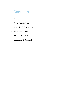#### **Contents**

- Foreword 3
- Art In Transit Program 11
- Narrative & Storytelling 17
- Form & Function 31
- Art for Art's Sake 45
- $57$  Education & Outreach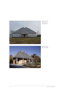

Mallard Creek Community **Schoolhouse** 



Mallard Creek Park and Ride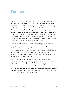#### Foreword

Charlotte's rich history as a crossroads for trade ensures its development as a place of commerce. What was once a desired path for Native Americans and Colonial settlers has now grown into a formidable city emerging Oz-like from the flat, red-hued Piedmont. Charlotte is a city with a diverse history of gold, agriculture, textiles and banking. It has an impressive tree canopy that belies the miles of concrete below. It is steeped in Southern traditions, yet embraces growth and an influx of people and businesses. It is a city with a developing plan for expansion and a commitment to beauty and function, as evidenced in the art which has been integrated into an expanding public transit system.

Patrons utilize this transit system for commuting to work, attending a sporting or cultural event or taking their families to an uptown parade. As they speed along, journeying from their homes to their destinations, they may engage in a dynamic art experience by observing the intentionally designed stations and art placed along the way. Visual clues are assimilated, almost imperceptibly, but significantly, connecting one to the iconography of a particular place.

The passenger stations and facilities are designed to make relevant statements about the city and its geography, history, texture and aspirations. And in doing so, this transit system eloquently links a specific locale with the people who come here. Not all of the commissioned art, however, is narrative in nature, or has a specific didactic agenda. Some of the most successful works of art are those that evoke a mood, conjure a memory or set in motion a chain of thought.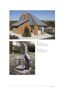



 $\uparrow$ Mallard Creek Park and Ride, Comfort Station and Bus Shelters

 $\leftarrow$ Rudy Rudisill T.9106, galvanized steel, 35 1/2" x 14 1/2" x 18"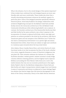Why is the infusion of art in the overall design of this system important? Urban studies have confirmed that well-designed spaces are more userfriendly, safer and more comfortable. These studies also show that a visually stimulating environment enhances the aesthetic appeal of a particular place. Some of the designed amenities specifically reference historical places. Artist Rudy Rudisill in his design collaboration with architects Neighboring Concepts for the Mallard Creek Park and Ride facility mirrors the vernacular architecture of the old Mallard Creek Community Schoolhouse while referencing Rudisill's own sculpture. In contrast, the futuristic architecture of the Huntersville-Northcross Park and Ride facility by the same architects, was a direct response to the incorporation of a kinetic sculpture by Kit Kube, which casts light and patterns on surfaces provided to the artist by the architects. Jody Pinto's translucent green and red canopies at the LYNX Blue Line 3rd Street Station lend a contemporary environment to an uptown light rail station. Illuminated from within, these forms are radiant at night and contribute to a luminous space situated above the busy street below.

Alice Adams, Shaun Cassidy, Nancy Blum, and Leticia Huerta all create functional works of art that incorporate the flora of the South, whether it be cotton, magnolia blossoms or some of Charlotte's indigenous tree and plant life. Their artworks celebrate the lushness of a climate that facilitates abundant, verdant growth. Andrew Leicester's sturdy bridge columns reference weaving patterns, and his brightly-hued sculptural Bobbins surrounding the Time Warner Cable Arena are a nod to the textile industry that was once an economic powerhouse in this region. Kathy Triplett's tiles for the Matthews Independence Pointe Park and Ride facility arch depict transportation-related images from local history. A sense of community and history is evidenced in Susan Harbage Page's bus shelters that feature larger-than-life historical photographs of residents of the Cherry community. Cherry is the oldest African-American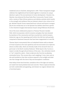residential area in Charlotte, dating back to 1891. These transparent images celebrate the neighborhood that bonded together to maintain its unique identity in spite of the encroachment of urban development. Chandra Cox, likewise, has enhanced the Rosa Parks Place Community Transit Center with a variety of West African patterns and Adinkra symbols which testify to the strength and resilience that are inherent values in her culture of origin. Michele Tejuola Turner researched local cultural and historic iconography for her windscreen art in the Sprinter bus shelters sited from uptown to the Charlotte Douglas International Airport along Wilkinson Boulevard.

One of the most collaborative projects is Thomas Thoune's Camden Wall, which incorporates colorful ceramics and glass that were donated by members of the community and then recycled into colorful mosaics. Industrial cogs are the repeating motif within this 360-foot wall partially comprised of shattered treasures that have been reappointed to a new life.

Thomas Sayre's monumental discs at Scaleybark Station add an element of visual surprise as the train speeds by and one encounters six sculptures (three on either side), which are literally made of the red earth that is so particular to the North Carolina Piedmont. While Sayre's title, Furrow, is meant to evoke the agricultural history of this area—the cultivation trench or "vee" created by a plow—these sculptures also function as pleasing minimalist forms. The concave discs, each weighing 11 tons, were cast on site and installed so that their surfaces respond to the sunlight and shadows that change with the time of day and atmospheric conditions.

Hoss Haley's River Rock benches, installed at five of the light rail stations, are made from hand-polished steel and concrete. These sculptural benches are both comfortable and appealing, and interject an organic element into a functional space.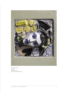

Thomas Thoune Cog #25 Camden Wall LYNX East/West Station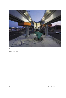

Dennis Oppenheim Reconstructed Dwelling LYNX Tyvola Station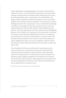Dennis Oppenheim's compelling design for the plaza of Tyvola Station references a home—one that has been deconstructed. His *Reconstructed Dwelling* is situated below the elevated tracks. Rising nearly two stories from the painted floor plan at street level to the track platform, the design contains traditional architectural elements, such as an inverted pyramid roof, a staircase, walls and windows, all constructed of common building materials. Other components, such as a waterwheel assemblage of windows at mid-height and the blue cone-like structure at the top, reference Marcel Duchamp's (1887-1968) *The Bride Stripped Bare by Her Bachelors, Even* (The Large Glass) (1915-1923, collection of the Philadelphia Museum of Art). While it isn't important for this association to be known by everyone, it does illuminate Oppenheim's interest in conceptual art and reveals that his work can be interpreted on a variety of levels. The floor plan which is painted on the concrete at street level references a typical neighborhood home, and can be considered a stage for chance encounters of unseen brides and bachelors who may meet on their train ride to work.

The commissions for these and other public transit projects are triumphs of democracy, in that both local artists and internationally renowned artists participated in these initiatives. Collectively, these projects encourage patrons to visually interact with the artwork in an informal setting, engage and experience the intersection of sculpture and architecture, space and place. They merge beauty and function and reveal something about the history of the Charlotte metropolitan area and its aspirations for a luminous future.

Carla M. Hanzal, Curator of Contemporary Art, The Mint Museum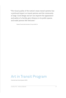"The visual quality of the nation's mass transit systems has a profound impact on transit patrons and the community at large. Good design and art can improve the appearance and safety of a facility, give vibrancy to its public spaces, and make patrons feel welcome."

Federal Transit Administration Circular 9400.1A

#### Art in Transit Program

Charlotte Area Transit System (CATS)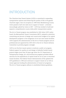## INTRODUCTION

The Charlotte Area Transit System (CATS) is committed to expanding transportation options and enhancing the quality of life in the greater Charlotte region. Since its inception in 1998 when Mecklenburg County voters passed a half-cent sales tax in support of transit – a decision resoundingly upheld by voters in 2007 – CATS has worked to build and expand a comprehensive county-wide public transportation system.

The Art-in-Transit program was established in 2002 when CATS' policy board, the Metropolitan Transit Commission (MTC), adopted a resolution committing one percent of design and construction budgets of its capital development program to the integration of art into new transit facilities. CATS supports the administration of the Art-in-Transit program and art professionals are appointed by CATS CEO to the Art-in-Transit Advisory Committee to provide program oversight.

CATS is not the first transit system to institute a public art program. Federal support for quality art and design in federally-funded transit projects began more than 30 years ago when the U.S. Department of Transportation Design, Art, and Architecture program provided official sanction for the expenditure of capital funds for art in new or renovated transit facilities. The Federal Transit Administration (FTA) updated the DOT guidelines in 1996 and continues to support transit art as well as transit agencies funding the administration of transit art programs. The Art-in-Transit program adheres to established federal guidelines.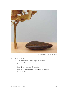

Hoss Haley, Model for River Rock Bench

FTA guidelines include:

- • a peer review artists selection process informed by community participation,
- involvement of artists at the earliest design phase of a project to ensure art integration,
- • and oversight by an advisory committee of qualified art professionals.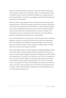The Art-in-Transit Advisory Committee works with staff to develop annual art plans, review artist's proposals, select art professionals to serve on selection panels, review and approve budgets, encourage education and outreach efforts, and ensure meaningful community involvement in all aspects of the program.

Selection panels bring together local art professionals and community representatives to discuss the unique qualities that make up the history and character of communities in proximity to a site or facility. Panelists review artist qualifications and past work. Artists are selected based on their previous work and for their potential to relate to a project, the transit patron and the community. The criteria for art are excellence, relevance, durability and maintenance considerations.

Once commissioned, an artist interacts with the project team, architects, engineers, planners, contractors, business and community representatives, and neighborhood residents during the design and construction phases of the transit project. These cooperative relationships are inherent to the success of any public art project.

Each artist begins work at an early design and engineering phase, armed with project plans and information already acquired by CATS from numerous community meetings during project development. By 30% design and engineering, it is usually clear where an artist is able to integrate art into the project. By 65% design, an artist has proposed where and what the art will be and has begun estimating the cost of the art. The objective is to incorporate art into the final design and construction bid documents, not only to ensure timely and cost-effective site preparation but to dictate whose responsibilities the fabrication and installation of the art will be during construction.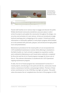

Thomas Sayre's drawing and plan for Furrow, LYNX Scaleybark Station

Transit staff reaches out in various ways to engage and educate the public. Widely distributed community newsletters announce plans to select artists for projects and update the community throughout the design, construction and activation of a new venture. Artists are introduced at neighborhood meetings prior to designing art for a project. Printed and online information is continually updated to track project progress while finished art is documented with postcards, plaques, and introduced through guided tours and presentations.

Maintenance procedures for the transit public art are incorporated into CATS established maintenance routines while adhering to standards in the field of public art. Each artwork is assigned an acquisition number and a substantive Maintenance and Conservation notebook is completed by the artist and the Art-in-Transit program manager for future care of the art. This relevant information is transferred into CATS Operations' ongoing maintenance program.

To date, the Art-in-Transit program has commissioned 55 artists for 17 transit projects, introducing art into park and ride lots, community transit centers, maintenance facilities, and passenger shelters. Thirteen of these artists contributed art to the LYNX Blue Line light rail system. This publication documents the art completed since the start of the program in 2002.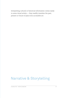Interpreting cultural or historical information comes easily to some visual artists — they readily translate the past, present or future of place into accessible art.

#### Narrative & Storytelling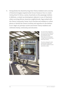Strong family ties shared by long-time Cherry residents and a scarcity of historical imagery inspired artist Susan Harbage Page to create *Coming Home To Cherry,* a series of portraits on five passenger shelters in Midtown, a mixed-use development adjacent to one of Charlotte's oldest surviving African-American neighborhoods. Page worked with the Cherry Community Center, local churches and residents to collect photos to rebuild the Center's archives and reproduce in the shelters as art. Page's art portrays current and former Cherry residents and celebrates family, community, and education. 1.



Four blue tiles integrated into the concrete reference the traditional use of blue as a protective color, often seen over doorways in older African and African – American homes.

The cherry design for side windscreens referred to the original neighborhood's wild cherry trees.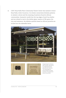CATS' Rosa Parks Place Community Transit Center was named to honor Rosa Parks. Artist CHANDRA COX draws connections between patterns in western culture and the meaning of patterns found in African communities. Geometric motifs line the top edges of each bus shelter and are related to text in the shelter glass: essence of life, grace, history, and resistance. Six Adinkra symbols based on African proverbs are incised into the sidewalks below. 2.







Originating from Ghana, each symbol represents an inspirational and educational meaning. The meanings and pronunciation are also etched in the pavement below the symbol.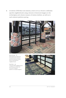At eleven LYNX Blue Line stations, artist LETICIA HUERTA celebrates specific neighborhoods using cultural or historical imagery in the etched glass and column mosaics of station shelters, as well as in each station's platform paving. 3.



Bland Street 1 Rose patterns reference the area textile industry and the Victorian homes built in the Dilworth neighborhood.

New Bern → The post WWII neighborhood architecture influenced the use of shaped pavers in a carpet of green.

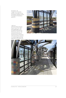Arrowood Images from Catawba pottery; the snake, arrow, and feather designs stretch the length of the station platform.

#### $1-485 +$

CATS provided a playing field on top of its I-485 parking garage for the students of the Sterling Elementary School. The proximity of the school and the artist's interaction with the students resulted in children's games being depicted in the station art.



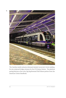

The Carolina textile industry informed ANDREW LEICESTER's brick cladding for six sculptural bridge columns for the CTC/Arena Station. The platform paving features a five-color Zig Zag Reversed Twill Weave pattern from the American Cotton Handbook.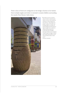Three colors of brick are configured on the bridge columns to be viewed from multiple angles and relate to Leicester's ceramic *Bobbins* surrounding the nearby Time Warner Cable Arena.



"My intent is not to romanticize an historic industry but rather to honor the creativity inherent in the artifacts of the industry–the shape of a bobbin, webs of thread, the finished fabrics–all part of textile design and the technological ingenuity to advance mass textile production. In the way that the aged among us deserve our respect, I hope to pay homage to those who toiled many years in the mills and feel pride in their work."

Andrew Leicester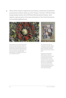Thirty-three mosaics inspired by local history, community involvement, and personal artifacts make up artist Thomas Thoune's 360 feet frieze along Camden Road at the LYNX East/West Boulevard Station. Each vignette captures parts of the past and present of the South End and its surrounding neighborhoods. **5.**



Green glass from the Grace Covenant Church, artists' donations, Dilworth Montessori School student work, and sentimental marbles find permanent home in this piece. A sugar bowl once held the ashes of a grand-daddy described as "the sweetest man who ever walked the earth."



The mosaics are set into recesses in the wall, shaped to resemble machine cogs, gears, and belts, referencing the area's textile industry past.

Residents donated their plates, glass, marbles, china and ceramics through an extensive community collection effort. Thoune recycled the donated materials into art, combining them with his own handmade ceramics and art by other artists and students invited to participate during his artist-led workshops.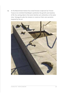At the Bland Street Station four small bronze sculptures by Yuriko Yamaguchi entitled *Dreamkeepers* symbolize the growth and mystery of life. By casting objects that seem familiar yet unfamiliar at the same time, Yamaguchi asks the viewers to construct their own narrative inspired by the art. **6.**

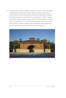Transportation-related imagery of *Matthews in Motion* at the Matthews 7.Independence Pointe Park and Ride reflects themes researched by KATHY TRIPLETT from the history of the Town of Matthews. Inspired by relevant historical connections to transportation, Triplett created two series of hand sculpted ceramic tiles for the bus operator comfort station. Twenty-four 12" x 14" hand made ceramic tiles form the arch of the station. A series of eight square, hand built matte-glazed tiles are set into the brick under the arch in the entry alcove.

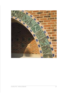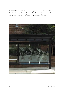Michele Tejuola Turner created *Hungry Birds* and collaborated on the blue bench design for the East and West Boulevard bus shelters before designing windscreen art for the 26 Sprinter bus shelters. 8.

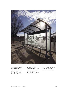

Turner attended many neighborhood meetings prior to creating her drawings that became the art for the Sprinter bus line from uptown Charlotte to the airport. She incorporated icons and symbols that are recognizable to long-time Charlotte residents but rapidly disappearing along Wilkinson Boulevard. The familiar Coffee Cup

icon of the former diner is now a permanent image at the Ashley inbound and outbound bus stops.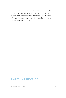When an artist is matched with an art opportunity, the decision is based on the artist's past work. Although there is an expectation of what the artist will do, artists often do the unexpected when they seek inspiration to be innovative and original.

#### Form & Function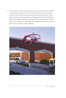R.M. Fischer's clock at the South Tryon Bus Maintenance Facility is set on the architectural arch where buses enter and exit the facility. Drivers and maintenance workers pass below the clock daily as they arrive and depart in keeping with their established shifts. The drivers transport patrons to their destinations, adhering to yet another set timetable. The industrial look of the clock is tied to the function of the building. 1.

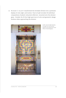2. RICHARD C. ELLIOTT transformed the Archdale elevator into a prismatic display of color, light, and motion. *Tower of Light* includes 36 individual compositions of plastic industrial reflectors mounted onto the elevator glass. Outside, the 30-foot high spectrum of color and geometric design beckons riders approaching the elevator.



Inside, natural light passing through the multicolored patterns simulates the visual effect of stained glass.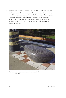Five benches were hand built by Hoss HALEY in his Asheville studio. A stainless steel skeleton supports a 3" concrete shell, hand-polished to achieve a smooth, terrazzo-like finish. The artist's rubber template was used to drill bolt holes into the platform. With lifting straps and a forklift, each 1200-lbs bench was gently lowered into place and secured at the 7th Street, Bland, New Bern, Woodlawn, and Arrowood stations. 3.



"Sculpture can be a place and a reason for contemplation." Hoss Haley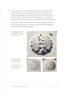Alice Adams, one of two LYNX Blue Line lead artists, impacted the corridor landscape and hardscape in response to Charlotte's tree canopy and indigenous plant life. Her "interventions" include 47 low wall bas reliefs, a Samaras sidewalk paving stamp, two sculptural benches, concrete scoring patterns, and enhanced landscaping designs. 4.

Three bas reliefs accentuate the low walls that separate the platforms from the light rail track. Each design corresponds with the species of tree planted on the station platform.



The Skyrocket Oak appears at Scaleybark, Woodlawn, Arrowood, Sharon Road West, and I-485 Stations.

The Gingko (left) design is integrated into the four Uptown stations.

The Hornbeam (right) design is featured at four South End stations.



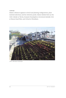### Landscape

Adams' influence appears in shrub and planting configurations, plant material selections, and bio-retention ponds. Adams labeled them as the *Celtic Calendar* at Tyvola, *Evergreen Encyclopedia* at Arrowood, *Butterfly Circle*  at Sharon Road West, and *Orchard* at Woodlawn.



LYNX I-485 Station landscape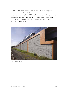Marek Ranis, the other lead artist on the LYNX Blue Line project, selected a variety of standard formliners to alter the surfaces of thousands of running feet of high and low concrete retaining walls and bridge piers from the LYNX Woodlawn Station to the I-485 Station. A *split faced running bond block* with a brick-like appearance is used at the Woodlawn Station. 5.



LYNX Woodlawn Station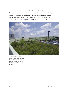A *marching lane wave* or *fractured rib* formliner at I-485, Archdale, and Tyvola, adds vertical lines and texture to the walls as well as to the bridge columns. A Carolina earth color and a sky gray, drawn from nature, are the artist's choices for the majority of the bridges and walls (except for Sharon Road West) in the six station areas from Woodlawn to I-485.



Two different formliners mimic tree bark painted brown and the texture of tree leaves painted green on the large curved wall at the Sharon Road West Station parking lot.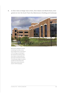In their roles as design team artists, Alice Adams and Marek Ranis, intergrated art into the South Tryon Bus Maintenance Building and landscape. 6.



Marek Ranis designed "Routes" consisting of courses of blue and orange bricks on the exterior of the contiguous buildings at the maintenance facility, while Alice Adams collaborated with the project landscape architect. The landscape design included a woodland preserved by Alice Adams as an oasis and picnic area for CATS employees.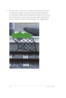Shaun Cassidy's leaf art at 10 stations celebrates native trees, 7.including the Gingko, Cottonwood, Dogwood, Maple, Magnolia, Pin Oak, Beech, Willow Oak, Sweetgum, and White Oak. The veins of the four leaves at each station are street maps, indicating the patron's platform location in relationship to the neighborhood.

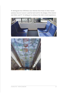To distinguish the LYNX Blue Line vehicles from those of other transit systems SHAUN CASSIDY used his leaf motif in the design of the interior seat fabric and 57' of ceiling art to enhance the rider's travel experience.



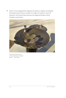8. NANCY BLUM designed her Dogwood art basins to replace 24 standard drinking fountain basins located at 12 light rail stations. Each 18" diameter cast bronze basin features the dogwood blossom, North Carolina's state flower.



"As a person bends to drink, she will experience an image of growth." Nancy Blum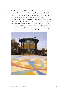Both Nancy Blum and ELIZABETH INDIANOS reference the Fibonacci sequence in nature – the spiral – in their transit art. Elizabeth Indianos' multicolored painted ribbon spirals throughout the Eastland Area Community Transit Center plaza, intentionally becomes a metaphor for the area's diverse population. When the the artist was introduced to the project, the conceptual design for the transit center was proposed to be hard edged and rectilinear. However, the collaborative process with the artist's participation resulted in the overall design being transformed into the organic and circular interpretation which stands today. 9.

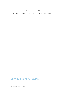Public art by established artists is highly recognizable and raises the visibility and value of a public art collection.

## Art for Art's Sake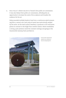Hoss Haley's *Motion* was Art-in-Transit's first public art commission. It was also Haley's first public art commission, affording him an opportunity to increase the scale of his sculpture and broaden the audience for his art. 1.

Haley pounded multiple bands of steel into a continuous spiral emanating from a central core. Each strip of metal was meticulously welded by the artist. As the steel surface weathers, it produces a rich red-brown patina in contrast to the bright blue comfort station. *Motion* establishes a strong, quiet presence amid the constant comings and goings at the Huntersville Gateway Park and Ride lot.



Corten steel responds to weather by rusting to a natural stopping point.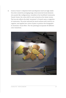George Handy's *Migration North* and *Migration South* are high reliefs the artist created by arranging large, interconnected wood elements into puzzle-like configurations. Installed at the SouthPark Community Transit Center, the colors shift in each artwork as the viewer moves. The bus site reflects the daily 'movement' of transit users, a migration of commuters. The artist textured his wood surfaces with vertical corrugation, and applied two colors of paint to produce the holographic bi-chromatic visual effect. The two paintings incorporate 40 different color transitions. 2.

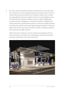KIT KUBE recycles industrial artifacts harvested from local scrap yards. He recycled two, six-foot stainless steel sieves formerly used in the local textile industry and converted the 24" diameter cylinder into a mobile by suspending the 236 pound artifact from the roof and adding a motor. The 380 pound 36" diameter cylinder became a stabile. Neighboring Concepts Architects designed a contemporary facility to integrate the artist's work that included blank surfaces to receive and display patterns created by the artificial and natural light passing through the sculptures. Lights built by the artist and set inside the mobile and stabile transform the sculptures into night lanterns. 3.

Titled *Constructive Interference*, the two sculptures juxtaposed with the steel, translucent roof panels and contemporary facility demonstrate a seamless combination of art and architecture.

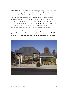Artist Rupy Rupisill in collaboration with Neighboring Concepts Architects created the design of the Mallard Creek Park and Ride's comfort station and bus shelters. Their "jumping off point" for the collaborative design was old Mallard Creek Community Schoolhouse. "As the area's rural landscape gave way to development," Rudisill said, "it was important to retain a visual reference to the past. A reference that could spark a person's memory and provide a link to a simpler time and a slower pace." The architects agreed and the finished project visually references the well-known community school house and Rudisill's sculptures. 4.

Visitors familar with the schoolhouse will recognize the results: the zinc gray roof with exposed beams, narrow columns, supported by red brick bases, two brick chimmeys, and the rectangular shape of his sculpture.

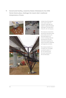*Reconstructed Dwelling*, created by Dennis Oppenheim for the LYNX Tyvola Station plaza, challenges the transit rider's traditional interpretation of home. 5.







Initially, the artist prepared small-scale models, 3D computer renderings, and engineer's signed and sealed drawings for the fabrication of the 25' x 30' x 30' artwork.

The sculptural components– the pyramid, staircase, wheel, wall, window column, etc.– were fabricated out of common building materials and along with the steel frame were shipped by the artist to the site for assembly by the general contractor.

The sculpture stands on a 13' square, four-foot deep, concrete foundation. A 30' x 30' typical house floor plan is painted on the concrete plaza.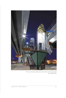

"This is art becoming architecture and architecture becoming a stage." Dennis Oppenheim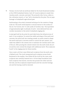Thomas Sayre built six earthcast disks for the South Boulevard median at the LYNX Scaleybark Station. Each 18' round sculpture is made from Carolina earth, concrete, and steel. The artwork's title, *Furrow*, refers to the cultivation trench, or "vee," left in farmland by the plow. The art pays homage to Scaleybark's agricultural past. 6.

Earthcasting is the artist's invented technique for the creation of large scale art. The earth mold imprints a natural texture to the surface of the art. For Furrow, over 72 cubic yards of Carolina clay—the equivalent of approximately eight truckloads of earth—were delivered from rail corridor excavation to the artist's Scaleybark staging site.

A steel grid built by the artist for each disk forms the infrastructure of each 11-ton sculpture. To control the width and shape of the earth and concrete, the artist built two rotating screeds: an earth screed to shape the earth mold and a concrete screed to control the wet cement. Iron oxide was added to the cement mix to maintain the Carolina earth color of the art. After pouring the colored cement into the earth mold, the artist and his crew covered the shapes with additional earth. The sculptures "cured" at the staging area for three months.

Once cured, a 60-foot crane lifted each sculpture from the earth onto a flatbed truck. The truck transported each sculpture across South Boulevard to the median. Once lifted off the truck by the crane, each sculpture was carefully lowered into a 10-foot deep foundation hole. Each sculpture was braced, concrete was poured over rebar and into the hole, and the sculptures stayed braced until the concrete footings set and the bracing could be removed.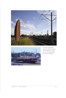



The artist's collaborative landscape design completes the art and site. It consists of a row of snowgoose trees and ornamental grasses.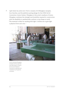Light Station by artist JODY PINTO consists of 20 fiberglass canopies, four benches, and the platform paving design for the LYNX 3rd St/ Convention Center Station. Fiberglass is this artist's medium of choice. Fiberglass combines the strength and durability required in construction with the flexibility to aesthetically conform to any shape or mold. "The material is ideal for working with light. It allows me to give light a physical form and color ." 7.



The 20 individual fiberglass canopies and four benches were fabricated in Phoenix, Arizona and shipped to Charlotte for assembly and installation by the general contractor.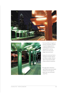



The three different heights of the berry and green canopies lining the bridge platform, juxtaposed with the artist's zigzag platform paving pattern, form the artist's stage-like environment.

By day, the translucent berry and green canopies capture and reflect sunlight, while at night, the fluorescent lights create a different ambiance.

"Through public interaction Light Station becomes theater – people move through the space, feel, and remember." Jody Pinto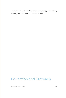Education and Outreach leads to understanding, appreciation, and long term care of a public art collection.

## Education and Outreach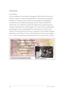## Exhibitions

### *Art in Motion*

At the inception of the transit art program, CATS hired The Arts and Science Council to create and implement an introductory temporary exhibition. The result was works of art featuring the photography of Charlotte area students and poetry by local writers exhibited in CATS buses. *Art in Motion* included The Light Factory sponsoring two summer workshops for children ages 8-12 to learn from a professional photographer how to photograph their environment. The Arts and Science Council selected nine poets to respond to the children's photos with three to five lines of verse. CATS reproduced the text and images on 11" x 28" bus placards and exhibited the art on CATS buses in 2003.

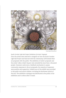

Drawing by Nancy Blum

*South Corridor Light Rail Project Exhibition of Artists' Proposals* Once the artists were selected to integrate art into the South Corridor Light Rail Project and had met with the community, CATS shared their art proposals with the public. The exhibition of artists' proposals and the artists' talks at Spirit Square were attended by more than a thousand people. Comment cards were a feedback mechanism to assess community responses to the art proposals; the majority of responses were positive and supportive. Guided tours of the exhibit were provided to the public and school children, including the Northwest School of the Arts. The exhibition catalogue was distributed to the public at the exhibition and to others after it closed.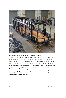

*South Boulevard Light Rail Facility Photography Exhibit* Working with a committee of knowledgeable employees involved in the planning and construction of the LYNX Blue Line and the South Boulevard Light Rail Facility, a permanent photography exhibition was created for this facility. Devlin McNeil, a photography curator, worked with CATS staff, to review 4,000 construction photos and select 140 photographs for printing, framing and permanent exhibition. The second floor photos capture the construction of the maintenance facility and the light rail vehicles, while the third floor corridor exhibit chronicles the light rail construction from 2005 to 2007.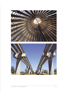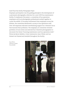### *South Tryon Bus Facility Photography Project*

Employee participation was the guiding principle in the development of a permanent photography collection for a new CATS bus maintenance facility. To implement the project, a committee of bus operations employees and local photography professionals worked together to curate the exhibit. To increase involvement from employees across the division, the committee distributed a survey to bus operations staff. Over 100 responses indicated overwhelming support for a thematic focus that honored their profession. The employee art committee reviewed portfolios of local artists and selected four Charlotte photographers to document the theme "honoring maintenance and bus operations work." Photos by Byron Baldwin, Crista Cammaroto, Gary O'Brien and Lee Stewart are framed and installed throughout the facility.

Gary O'Brien Attention to Detail Photo ©2006

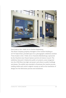

*From Studio to Site—Public Art in Charlotte-Mecklenburg* The Hines Company, property managers of the Carillon Building at 227 W. Trade Street, provided space for a photographic exhibition entitled "From Studio to Site—Public Art in Charlotte-Mecklenburg," sponsored by the Charlotte Area Transit System and Arts & Science Council. The exhibition featured 12 distinctive public art projects, some integrated into the LYNX Blue Line light rail project and others in public buildings and plazas. The exhibit was intended to illuminate the creative process, making visible each artist's original concept as well as the translation of design into the fabrication process and installation.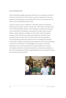### Artist Residencies

CATS funded three light rail project artists to be in residence at McColl Center for Visual Art on Tryon Street in uptown Charlotte for the sole purpose of providing the community with access to the artists and vice versa, over an extended period of time.

Thomas Thoune was in residence in fall 2005, when he started his fabrication of ceramic inserts to be set into a 360' wall at Camden Road or the LYNX East/West Station. CATS initiated a community collection of art materials by inviting the community to bring in their ceramic dishes, vessels, figurines, and glass to the artist's studio during the residency. Not only did the community bring their treasures, they brought stories to share with the artist about each donated piece. The outstanding community response was encouraged by extensive local media coverage. School groups participated in artist-led workshops to create art for the wall. To their delight, the students' work was exhibited at the Center along with the artist's finished art. Overall, the residency directly connected hundreds of community members to the artist through open studios, regular gallery hours, and special events over the three-month period.

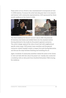Texas artist LETICIA HUERTA was commissioned to incorporate art into 11 LYNX stations. To ensure the artist had adequate time to do research and interact with community representatives, CATS sponsored her threemonth residency at the Center in 2004.



The third residency for SHAUN CASSIDY was in 2006. He produced 40 stainless steel leaves and welded them into the standard station fencing delivered to his studio by the project's general contractor. The artist's design replaced the veins of each leaf with neighborhood specific street maps. CATS project team members and the general contractor visited Cassidy's studio to inspect his work during fabrication and discuss the steps between finishing and installing the art.

Again, hundreds of community members visited the artist at the Center to view and talk with him about his project art. Cassidy also conducted a workshop with at-risk youth from Stratford Richardson YMCA during his residency.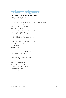# Acknowledgements

### Art-in-Transit Advisory Committee (2003-2007)

Chair:Becky Hannum, Charlotte, NC Art Program Manager, Bank of America

Chair:David Walters, Charlotte, NC Professor, University of North Carolina Charlotte at College of Art+Architecture

Craig Crawford, Columbia, SC Conservator, Crawford Conservation, Inc.

Michael Godfrey, Mt. Holly, NC Artist, Curator, Bechtler Collection Director, Little Italy Peninsula Arts Center

Vikkii B. Graham, Charlotte, NC Community Cultural Programs, Afro-American Cultural Center

Harriett Green, Columbia, SC Visual Art Director, South Carolina Arts Commission

Dian Magie, Hendersonville, NC Executive Director, Center for Craft, Creativity & Design

Theodore F. Monnich, Columbia, SC Object Conservator

Jeffrey York, Director Public Art & Community Design, North Carolina Arts Council

#### Art-In-Transit Committee (2008-2011)

Chair: Nancy M. Doll, Greensboro, NC Director, Weatherspoon Art Museum

Chair: Linda Johnson Dougherty, Raleigh, NC Chief Curator, NC Museum of Art

Carrie L. Gault, RA, LLC, Charlotte, NC Owner, Happy Box Architecture

Hasaan Kirkland, Charlotte, NC Instructor, Johnson C. Smith University

Annabel Manning, Charlotte, NC New Media Artist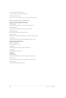Cheryl A. Palmer, Charlotte, NC Director of Education, The Mint Museum

Wim Roefs, Columbia, SC Instructor, African-American Art, University of South Carolina

### ARTISTS SELECTION PANELISTS

### South Corridor Light Rail Project

Mary Douglas Curator, Southern Highland Craft Guild, Statesville, NC

Michael Godfrey Artist, Curator, A. Bechtler Collection, Charlotte, NC

Ron Platt, Curator Weatherspoon Museum, Greensboro, NC

Ce Scott, Artist Director of Programs, McColl Center for Visual Art, Charlotte, NC

Tom Stanley Artist, Director, Winthrop University Galleries, Rock Hill, SC

### West Corridor (Sprinter)

Carrie L. Gault, RA Architect, Charlotte, NC

Jean Greer Vice President of Public Art, ASC, Charlotte, NC

Lee Stewart Photographer, Charlotte, NC

### Midtown

Roy Strassberg Chairman, Art Department, UNC- Charlotte, Charlotte, NC

Carla Hanzal Curator Contemporary Art, The Mint Museum, Charlotte, NC

Beverly Smith Artist/Teacher CMS, Charlotte, NC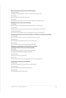#### Rosa Parks Place Community Transit Center

Hasaan Kirkland Painting/Art History Professor, Johnson C. Smith Univ., Charlotte, NC

Belinda Tate Director, Diggs Gallery, Winston Salem, NC

Juan Logan Sculptor/Associate Profes. of Studio Art, UNC-Chapel Hill, Chapel Hill, NC

# Eastland Community Transit Center

David Edgar Sculptor- Director, UNCC Graduate Program/Arts Admin., Charlotte, NC

Vikkii Graham Program Director, Visual Arts, African-American Cultural Center, Charlotte, NC

Claudia Gonzales-Smit Artist, Community Program Coord., Arts Education Institutes, Charlotte, NC

# Huntersville-Northcross Park and Ride and Mallard Creek Park and Ride

Brenda Coates Artist-Professor, Western Carolina University, Hendersonville, NC

Mary Babcock Artist-Professor, Appalachian State University, Boone, NC

Brad Thomas Artist, Director/Curator, Van Every Gallery, Davidson, NC

#### Matthews Independence Pointe Park and Ride and South Park Community Transit Center

Dian Magie Executive Director, Center for Craft, Creativity & Design University of North Carolina, Hendersonville, NC

Harriett Green Director of Visual Art, Columbia, SC

Jeffrey York Director, Public Art & Community Design, NC Arts Council, Raleigh, NC

### Huntersville-Gateway Park & Ride

Jennifer Falls Member, Huntersville Cultural Dev. Com., Huntersville, NC

Daryl Williams Architect, Neighboring Concepts, Charlotte, NC

David Feltman Project Manager, CATS, Charlotte, NC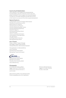## Community & Stakeholders

CATS is grateful to the neighborhood representatives, business leaders, planners, historians, transit users and people interested in the art program who have participated in project art committee meetings to provide input into the artists' selection process and the artists' proposal development.

#### Special thanks to:

Lyndsay Richter, former AiT Program Administrator Charlotte Arts and Science Council McColl Center for Visual Art Charlotte Center City Partners Charlotte-Mecklenburg Main Library Charlotte-Mecklenburg Schools Charlotte Trolley, Inc. Collinswood Elementary School The Dunhill Hotel Historic Landmarks Commission Levine Museum of the New South The Light Factory Northwest School of the Arts Sterling Elementary School

### Art in Transit

Pallas Lombardi, Program Manager Kati Stegall, Program Administrator Vanessa Stevenson, Administrative Assistant

This publication is made possible by: City of Charlotte Charlotte Area Transit System Metropolitan Transit Commission



Charlotte Area Transit System 600 East Fourth Street Charlotte, North Carolina 28202 www.ridetransit.org

#### Photography

Photos by JoAnn Sieburg-Baker Pages 7, 8,18, 20, 21, 22, 23, 24, 25, 28, 29, 33, 34, 35, 36, 37, 38, 40, 41, 42, 51, 53, 55

Other photos by CATS or the individual artists. Photos copyrighted and not for duplication.

Photos by Mitchell Kearney Pages 2, 4, 19, 26, 27, 32, 39, 43, 46, 47, 48, 49, 65